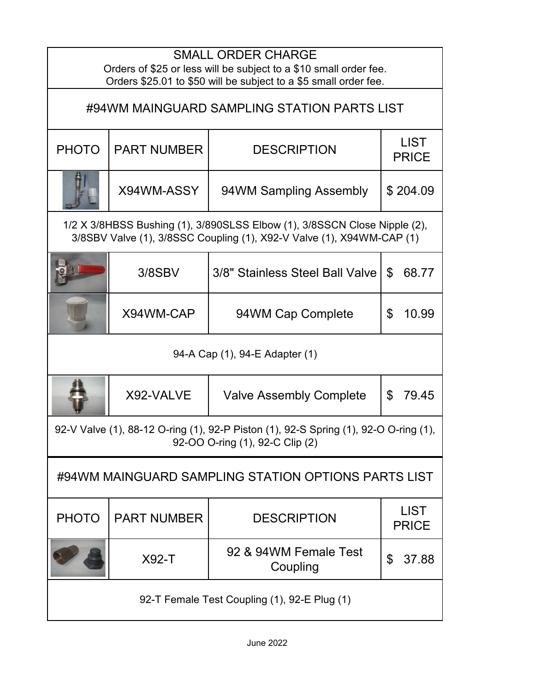| <b>SMALL ORDER CHARGE</b><br>Orders of \$25 or less will be subject to a \$10 small order fee.<br>Orders \$25.01 to \$50 will be subject to a \$5 small order fee. |                    |                                   |                             |  |  |
|--------------------------------------------------------------------------------------------------------------------------------------------------------------------|--------------------|-----------------------------------|-----------------------------|--|--|
| #94WM MAINGUARD SAMPLING STATION PARTS LIST                                                                                                                        |                    |                                   |                             |  |  |
| <b>PHOTO</b>                                                                                                                                                       | <b>PART NUMBER</b> | <b>DESCRIPTION</b>                | <b>LIST</b><br><b>PRICE</b> |  |  |
|                                                                                                                                                                    | X94WM-ASSY         | 94WM Sampling Assembly            | \$204.09                    |  |  |
| 1/2 X 3/8HBSS Bushing (1), 3/890SLSS Elbow (1), 3/8SSCN Close Nipple (2),<br>3/8SBV Valve (1), 3/8SSC Coupling (1), X92-V Valve (1), X94WM-CAP (1)                 |                    |                                   |                             |  |  |
|                                                                                                                                                                    | $3/8$ SBV          | 3/8" Stainless Steel Ball Valve   | 68.77<br>\$                 |  |  |
|                                                                                                                                                                    | X94WM-CAP          | 94WM Cap Complete                 | \$<br>10.99                 |  |  |
| 94-A Cap (1), 94-E Adapter (1)                                                                                                                                     |                    |                                   |                             |  |  |
|                                                                                                                                                                    | X92-VALVE          | <b>Valve Assembly Complete</b>    | \$<br>79.45                 |  |  |
| 92-V Valve (1), 88-12 O-ring (1), 92-P Piston (1), 92-S Spring (1), 92-O O-ring (1),<br>92-OO O-ring (1), 92-C Clip (2)                                            |                    |                                   |                             |  |  |
| #94WM MAINGUARD SAMPLING STATION OPTIONS PARTS LIST                                                                                                                |                    |                                   |                             |  |  |
| <b>PHOTO</b>                                                                                                                                                       | <b>PART NUMBER</b> | <b>DESCRIPTION</b>                | <b>LIST</b><br><b>PRICE</b> |  |  |
|                                                                                                                                                                    | $X92-T$            | 92 & 94WM Female Test<br>Coupling | \$<br>37.88                 |  |  |
| 92-T Female Test Coupling (1), 92-E Plug (1)                                                                                                                       |                    |                                   |                             |  |  |